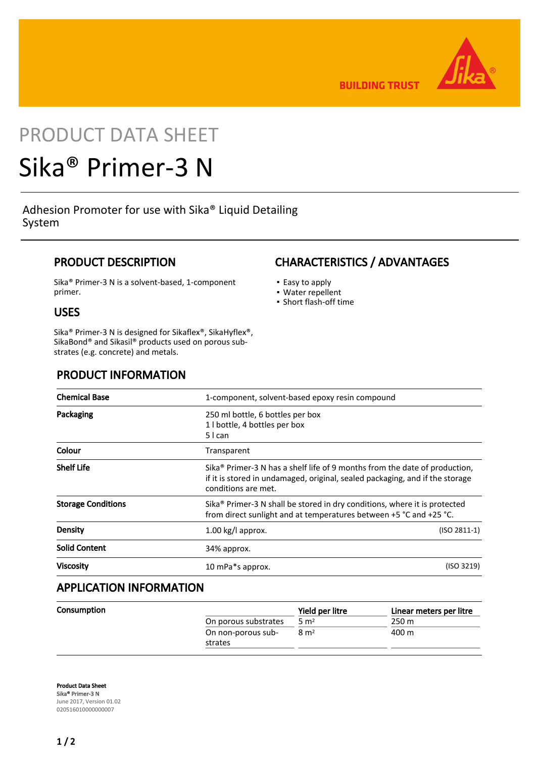

**BUILDING TRUST** 

## PRODUCT DATA SHEET

# Sika® Primer-3 N

Adhesion Promoter for use with Sika® Liquid Detailing System

## PRODUCT DESCRIPTION

Sika® Primer-3 N is a solvent-based, 1-component primer.

## USES

Sika® Primer-3 N is designed for Sikaflex®, SikaHyflex®, SikaBond® and Sikasil® products used on porous substrates (e.g. concrete) and metals.

## PRODUCT INFORMATION

| <b>Chemical Base</b>      | 1-component, solvent-based epoxy resin compound                                                                                                                                               |                |
|---------------------------|-----------------------------------------------------------------------------------------------------------------------------------------------------------------------------------------------|----------------|
| Packaging                 | 250 ml bottle, 6 bottles per box<br>1 l bottle, 4 bottles per box<br>5 I can                                                                                                                  |                |
| Colour                    | Transparent                                                                                                                                                                                   |                |
| <b>Shelf Life</b>         | Sika <sup>®</sup> Primer-3 N has a shelf life of 9 months from the date of production,<br>if it is stored in undamaged, original, sealed packaging, and if the storage<br>conditions are met. |                |
| <b>Storage Conditions</b> | Sika® Primer-3 N shall be stored in dry conditions, where it is protected<br>from direct sunlight and at temperatures between +5 °C and +25 °C.                                               |                |
| <b>Density</b>            | $1.00$ kg/l approx.                                                                                                                                                                           | $(ISO 2811-1)$ |
| <b>Solid Content</b>      | 34% approx.                                                                                                                                                                                   |                |
| <b>Viscosity</b>          | 10 mPa*s approx.                                                                                                                                                                              | (ISO 3219)     |
|                           |                                                                                                                                                                                               |                |

## APPLICATION INFORMATION

|                      | Yield per litre | Linear meters per litre |
|----------------------|-----------------|-------------------------|
| On porous substrates | $5 \text{ m}^2$ | 250 m                   |
| On non-porous sub-   | $8 \text{ m}^2$ | 400 m                   |
| strates              |                 |                         |
|                      |                 |                         |

Product Data Sheet Sika® Primer-3 N June 2017, Version 01.02 020516010000000007

## CHARACTERISTICS / ADVANTAGES

- Easy to apply
- Water repellent
- Short flash-off time